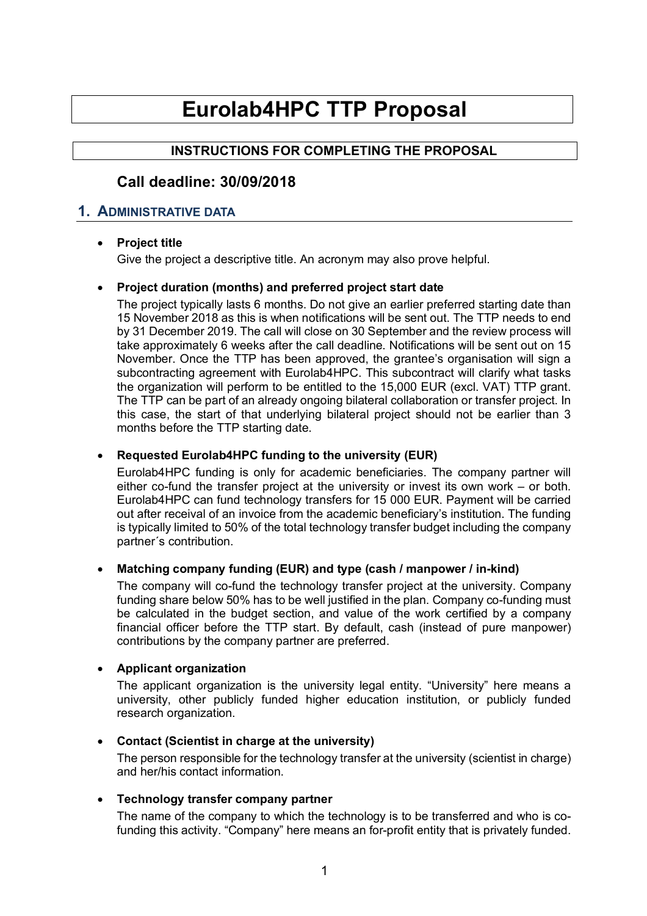# **Eurolab4HPC TTP Proposal**

# **INSTRUCTIONS FOR COMPLETING THE PROPOSAL**

# **Call deadline: 30/09/2018**

## **1. ADMINISTRATIVE DATA**

## • **Project title**

Give the project a descriptive title. An acronym may also prove helpful.

## • **Project duration (months) and preferred project start date**

The project typically lasts 6 months. Do not give an earlier preferred starting date than 15 November 2018 as this is when notifications will be sent out. The TTP needs to end by 31 December 2019. The call will close on 30 September and the review process will take approximately 6 weeks after the call deadline. Notifications will be sent out on 15 November. Once the TTP has been approved, the grantee's organisation will sign a subcontracting agreement with Eurolab4HPC. This subcontract will clarify what tasks the organization will perform to be entitled to the 15,000 EUR (excl. VAT) TTP grant. The TTP can be part of an already ongoing bilateral collaboration or transfer project. In this case, the start of that underlying bilateral project should not be earlier than 3 months before the TTP starting date.

### • **Requested Eurolab4HPC funding to the university (EUR)**

Eurolab4HPC funding is only for academic beneficiaries. The company partner will either co-fund the transfer project at the university or invest its own work – or both. Eurolab4HPC can fund technology transfers for 15 000 EUR. Payment will be carried out after receival of an invoice from the academic beneficiary's institution. The funding is typically limited to 50% of the total technology transfer budget including the company partner´s contribution.

#### • **Matching company funding (EUR) and type (cash / manpower / in-kind)**

The company will co-fund the technology transfer project at the university. Company funding share below 50% has to be well justified in the plan. Company co-funding must be calculated in the budget section, and value of the work certified by a company financial officer before the TTP start. By default, cash (instead of pure manpower) contributions by the company partner are preferred.

#### • **Applicant organization**

The applicant organization is the university legal entity. "University" here means a university, other publicly funded higher education institution, or publicly funded research organization.

• **Contact (Scientist in charge at the university)** The person responsible for the technology transfer at the university (scientist in charge) and her/his contact information.

## • **Technology transfer company partner**

The name of the company to which the technology is to be transferred and who is cofunding this activity. "Company" here means an for-profit entity that is privately funded.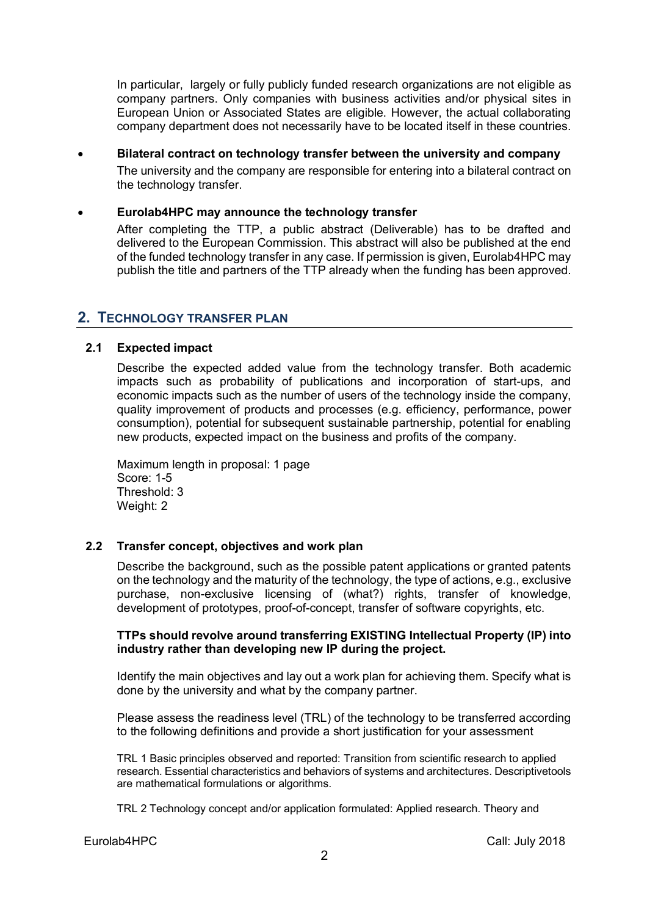In particular, largely or fully publicly funded research organizations are not eligible as company partners. Only companies with business activities and/or physical sites in European Union or Associated States are eligible. However, the actual collaborating company department does not necessarily have to be located itself in these countries.

• **Bilateral contract on technology transfer between the university and company** The university and the company are responsible for entering into a bilateral contract on the technology transfer.

### • **Eurolab4HPC may announce the technology transfer**

After completing the TTP, a public abstract (Deliverable) has to be drafted and delivered to the European Commission. This abstract will also be published at the end of the funded technology transfer in any case. If permission is given, Eurolab4HPC may publish the title and partners of the TTP already when the funding has been approved.

## **2. TECHNOLOGY TRANSFER PLAN**

## **2.1 Expected impact**

Describe the expected added value from the technology transfer. Both academic impacts such as probability of publications and incorporation of start-ups, and economic impacts such as the number of users of the technology inside the company, quality improvement of products and processes (e.g. efficiency, performance, power consumption), potential for subsequent sustainable partnership, potential for enabling new products, expected impact on the business and profits of the company.

Maximum length in proposal: 1 page Score: 1-5 Threshold: 3 Weight: 2

#### **2.2 Transfer concept, objectives and work plan**

Describe the background, such as the possible patent applications or granted patents on the technology and the maturity of the technology, the type of actions, e.g., exclusive purchase, non-exclusive licensing of (what?) rights, transfer of knowledge, development of prototypes, proof-of-concept, transfer of software copyrights, etc.

#### **TTPs should revolve around transferring EXISTING Intellectual Property (IP) into industry rather than developing new IP during the project.**

Identify the main objectives and lay out a work plan for achieving them. Specify what is done by the university and what by the company partner.

Please assess the readiness level (TRL) of the technology to be transferred according to the following definitions and provide a short justification for your assessment

TRL 1 Basic principles observed and reported: Transition from scientific research to applied research. Essential characteristics and behaviors of systems and architectures. Descriptivetools are mathematical formulations or algorithms.

TRL 2 Technology concept and/or application formulated: Applied research. Theory and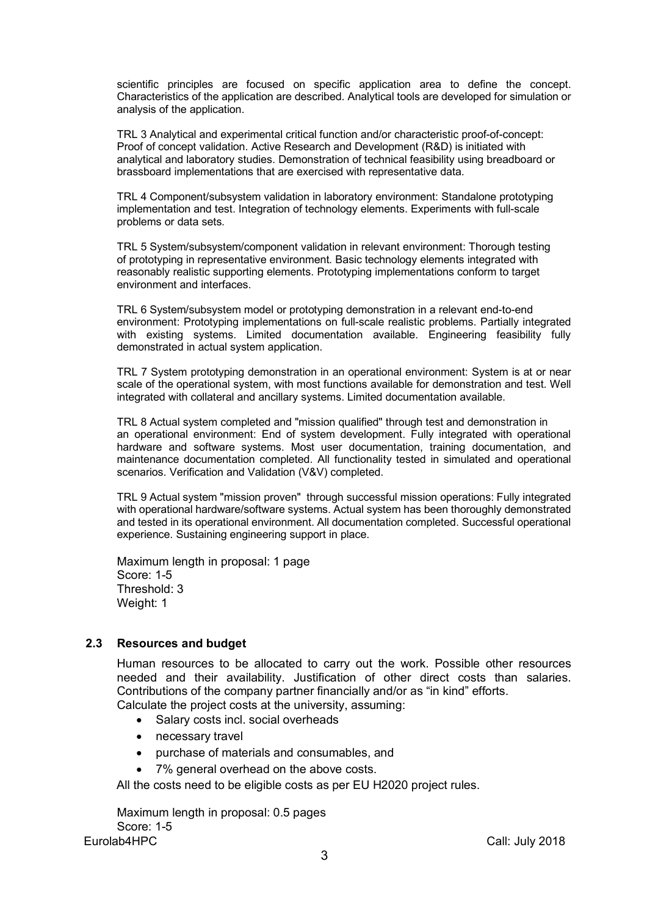scientific principles are focused on specific application area to define the concept. Characteristics of the application are described. Analytical tools are developed for simulation or analysis of the application.

TRL 3 Analytical and experimental critical function and/or characteristic proof-of-concept: Proof of concept validation. Active Research and Development (R&D) is initiated with analytical and laboratory studies. Demonstration of technical feasibility using breadboard or brassboard implementations that are exercised with representative data.

TRL 4 Component/subsystem validation in laboratory environment: Standalone prototyping implementation and test. Integration of technology elements. Experiments with full-scale problems or data sets.

TRL 5 System/subsystem/component validation in relevant environment: Thorough testing of prototyping in representative environment. Basic technology elements integrated with reasonably realistic supporting elements. Prototyping implementations conform to target environment and interfaces.

TRL 6 System/subsystem model or prototyping demonstration in a relevant end-to-end environment: Prototyping implementations on full-scale realistic problems. Partially integrated with existing systems. Limited documentation available. Engineering feasibility fully demonstrated in actual system application.

TRL 7 System prototyping demonstration in an operational environment: System is at or near scale of the operational system, with most functions available for demonstration and test. Well integrated with collateral and ancillary systems. Limited documentation available.

TRL 8 Actual system completed and "mission qualified" through test and demonstration in an operational environment: End of system development. Fully integrated with operational hardware and software systems. Most user documentation, training documentation, and maintenance documentation completed. All functionality tested in simulated and operational scenarios. Verification and Validation (V&V) completed.

TRL 9 Actual system "mission proven" through successful mission operations: Fully integrated with operational hardware/software systems. Actual system has been thoroughly demonstrated and tested in its operational environment. All documentation completed. Successful operational experience. Sustaining engineering support in place.

Maximum length in proposal: 1 page Score: 1-5 Threshold: 3 Weight: 1

#### **2.3 Resources and budget**

Human resources to be allocated to carry out the work. Possible other resources needed and their availability. Justification of other direct costs than salaries. Contributions of the company partner financially and/or as "in kind" efforts.

Calculate the project costs at the university, assuming:

- Salary costs incl. social overheads
- necessary travel
- purchase of materials and consumables, and
- 7% general overhead on the above costs.

All the costs need to be eligible costs as per EU H2020 project rules.

Eurolab4HPC Call: July 2018 Maximum length in proposal: 0.5 pages Score: 1-5